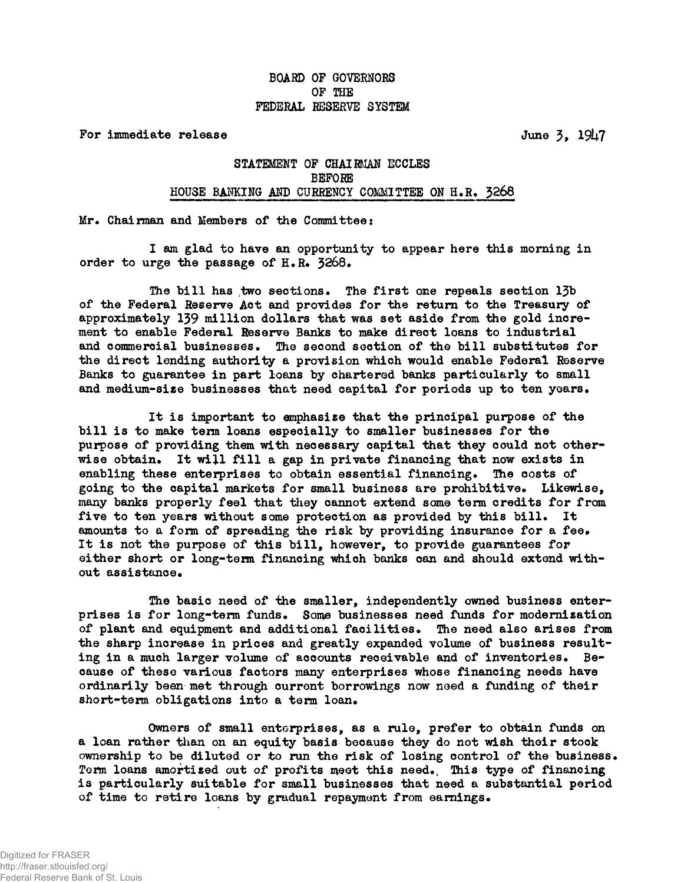## BOARD OP GOVERNORS OF THE FEDERAL RESERVE SYSTEM

For immediate release  $J = J + J$ 

## STATEMENT OF CHAIRMAN ECCLES BEFORE HOUSE BANKING AND CURRENCY COMMITTEE ON H.R. 3268 house and committee of the state of the committee on the committee of the committee on the company of the commi<br>The company of the committee of the committee of the committee of the committee of the committee of the commit

Mr. Chairman and Members of the Committee:

I am glad to have an opportunity to appear here this morning in order to urge the passage of  $H_R$ . 3268.

The bill has two sections. The first one repeals section  $1\bar{3}b$ of the Federal Reserve Act and provides for the return to the Treasury of approximately 139 million dollars that was set aside from the gold increment to enable Federal Reserve Banks to make direct loans to industrial and commercial businesses. The second section of the bill substitutes for the direct lending authority a provision which would enable Federal Reserve Banks to guarantee in part loans by chartered banks particularly to small and medium-size businesses that need capital for periods up to ten years.

It is important to emphasize that the principal purpose of the bill is to make term loans especially to smaller businesses for the purpose of providing them with necessary capital that they could not otherwise obtain. It will fill a gap in private financing that now exists in enabling these enterprises to obtain essential financing. The costs of going to the capital markets for small business are prohibitive. Likewise, many banks properly feel that they cannot extend some term credits for from five to ten years without some protection as provided by this bill. It amounts to a form of spreading the risk by providing insurance for a fee. It is not the purpose of this bill, however, to provide guarantees for either short or long-term financing which bonks can and should extend without assistance.

The basic need of the smaller, independently owned business enterprises is for long-term funds. Some businesses need funds for modernization of plant and equipment and additional facilities. The need also arises from the sharp increase in prices and greatly expanded volume of business resulting in a much larger volume of accounts receivable and of inventories. Because of these various factors many enterprises whose financing needs have ordinarily been met through current borrowings now need a funding of their short-term obligations into a term loan.

Owners of small enterprises, as a rule, prefer to obtain funds on a loan rather than on an equity basis because they do not wish their stock ownership to be diluted or to run the risk of losing control of the business. Term loans amortized out of profits meet this need., This type of financing is particularly suitable for small businesses that need a substantial period of time to retire loans by gradual repayment from earnings.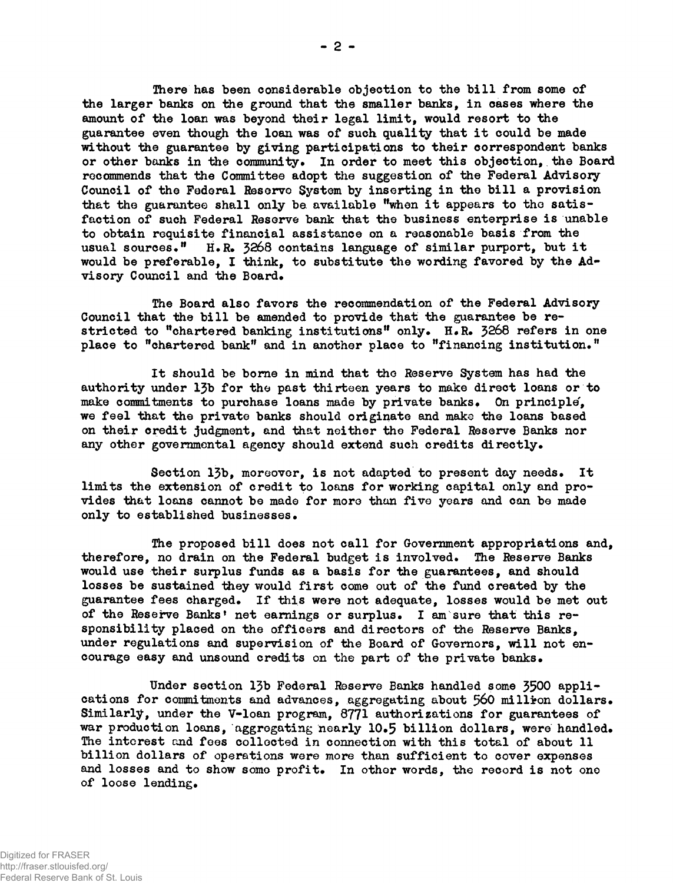There has been considerable objection to the bill from some of the larger banks on the ground that the smaller banks, in cases where the amount of the loan was beyond their legal limit, would resort to the guarantee even though the loan was of such quality that it could be made without the guarantee by giving participations to their correspondent banks or other bonks in the community. In order to meet this objection, the Board recommends that the Committee adopt the suggestion of the Federal Advisory Council of the Federal Reserve System by inserting in the bill a provision that the guarantee shall only be available "when it appears to the satisfaction of such Federal Reserve bank that the business enterprise is unable to obtain requisite financial assistance on a reasonable basis from the usual sources."  $H.R.$  3268 contains language of similar purport, but it would be preferable, I think, to substitute the wording favored by the Advisory Council and the Board.

The Board also favors the recommendation of the Federal Advisory Council that the bill be amended to provide that the guarantee be restricted to "chartered banking institutions" only. H.R.  $3268$  refers in one place to "chartered bank" and in another place to "financing institution."

It should be borne in mind that the Reserve System has had the authority under 13b for the past thirteen years to make direct loans or to make commitments to purchase loans made by private banks. On principle, we feel that the private banks should originate and make the loans based on their credit judgment, and that neither the Federal Reserve Banks nor any other governmental agency should extend such credits directly.

Section 13b, moreover, is not adapted to present day needs. It limits the extension of credit to loans for working capital only and provides that loans cannot be made for more than five years and can be made only to established businesses.

The proposed bill does not call for Government appropriations and, therefore, no drain on the Federal budget is involved. The Reserve Banks would use their surplus funds as a basis for the guarantees, and should losses be sustained they would first come out of the fund created by the guarantee fees charged. If this were not adequate, losses would be met out of the Reserve Banks' net earnings or surplus. I am sure that this responsibility placed on the officers and directors of the Reserve Banks, under regulations and supervision of the Board of Governors, will not encourage easy and unsound credits on the part of the private banks.

Under section 13b Federal Reserve Banks handled some 3500 applicati ons for commitments and advances, aggregating about 560 million dollars. Similarly, under the V-loan program, 8771 authorizations for guarantees of war production loans, aggregating nearly 10.5 billion dollars, were handled. The interest and fees collected in connection with this total of about 11 billion dollars of operations were more than sufficient to cover expenses and losses and to show some profit. In other words, the record is not one of loose lending.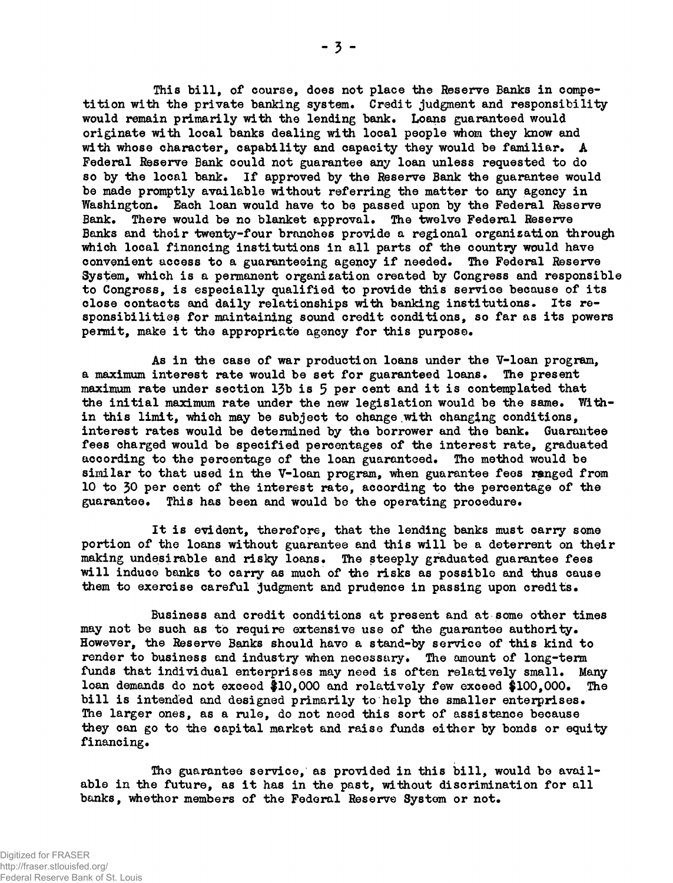This bill, of course, does not place the Reserve Banks in competition with the private banking system. Credit judgment and responsibility would remain primarily with the lending bank. Loans guaranteed would originate with local banks dealing with local people whom they know and with whose character, capability and capacity they would be familiar. A Federal Reserve Bank could not guarantee any loan unless requested to do so by the local bank. If approved by the Reserve Bank the guarantee would be made promptly available without referring the matter to any agency in Washington. Bach loan would have to be passed upon by the Federal Reserve Bank. There would be no blanket approval. The twelve Federal Reserve Banks and their twenty-four branches provide a regional organization through which local financing institutions in all parts of the country would have convenient access to a guaranteeing agency if needed. The Federal Reserve System, which is a permanent organization created by Congress and responsible to Congress, is especially qualified to provide this service because of its close contacts and daily relationships with banking institutions. Its responsibilities for maintaining sound credit conditions, so far as its powers permit, make it the appropriate agency for this purpose.

As in the case of war production loans under the V-loan program, a maximum interest rate would be set for guaranteed loans. The present maximum rate under section 13b is 5 per cent and it is contemplated that the initial maximum rate under the new legislation would be the same. Within this limit, which may be subject to change.with changing conditions, interest rates would be deterained by the borrower and the bank. Guarantee fees charged would be specified percentages of the interest rate, graduated according to the percentage of the loan guaranteed. The method would be similar to that used in the V-loan program, when guarantee fees ranged from 10 to 30 per cent of the interest rate, according to the percentage of the guarantee. This has been and would be the operating procedure.

It is evident, therefore, that the lending banks must carry some portion of the loans without guarantee and this will be a deterrent on their making undesirable and risky loans. The steeply graduated guarantee fees will induce banks to carry as much of the risks as possible and thus cause them to exercise careful judgment and prudence in passing upon credits.

Business and credit conditions at present and at some other times may not be such as to require extensive use of the guarantee authority. However, the Reserve Banks should have a stand-by service of this kind to render to business and industry when necessary. The amount of long-term funds that individual enterprises may need is often relatively small. Many loan demands do not exceed #10,000 and relatively few exceed \$100,000. The bill is intended and designed primarily to help the smaller enterprises. The larger ones, as a rule, do not need this sort of assistance because they can go to the capital market and raise funds either by bonds or equity financing.

The guarantee service, as provided in this bill, would be available in the future, as it has in the past, without discrimination for all banks, whether members of the Federal Reserve System or not.